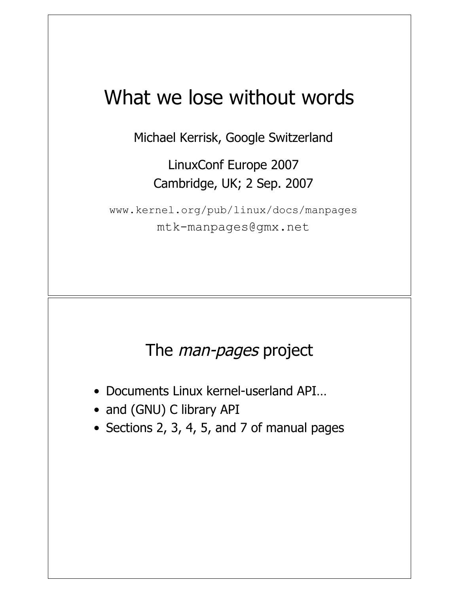## What we lose without words

Michael Kerrisk, Google Switzerland

LinuxConf Europe 2007 Cambridge, UK; 2 Sep. 2007

www.kernel.org/pub/linux/docs/manpages mtk-manpages@gmx.net

#### The *man-pages* project

- Documents Linux kernel-userland API…
- and (GNU) C library API
- Sections 2, 3, 4, 5, and 7 of manual pages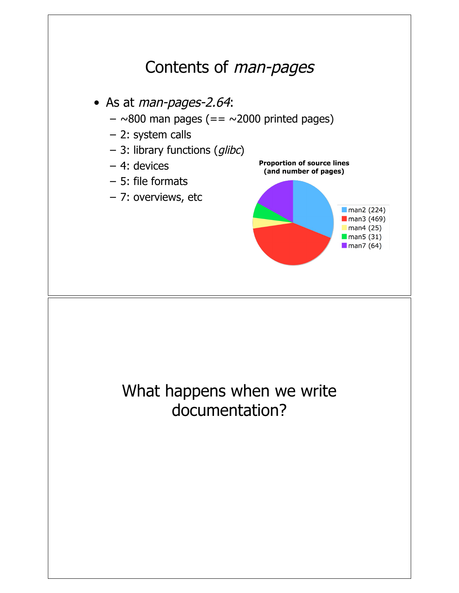## Contents of man-pages

• As at man-pages-2.64:

- $-$  ~800 man pages (== ~2000 printed pages)
- 2: system calls
- 3: library functions (glibc)
- 4: devices
- 5: file formats
- 7: overviews, etc



## What happens when we write documentation?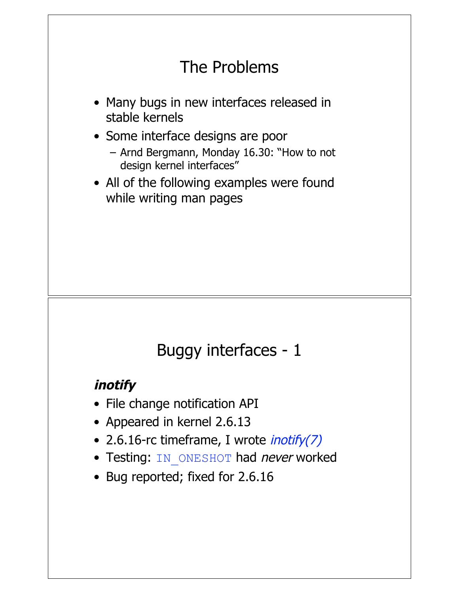## The Problems

- Many bugs in new interfaces released in stable kernels
- Some interface designs are poor
	- Arnd Bergmann, Monday 16.30: "How to not design kernel interfaces"
- All of the following examples were found while writing man pages

#### Buggy interfaces - 1

#### **inotify**

- File change notification API
- Appeared in kernel 2.6.13
- 2.6.16-rc timeframe, I wrote *inotify(7)*
- Testing: IN ONESHOT had never worked
- Bug reported; fixed for 2.6.16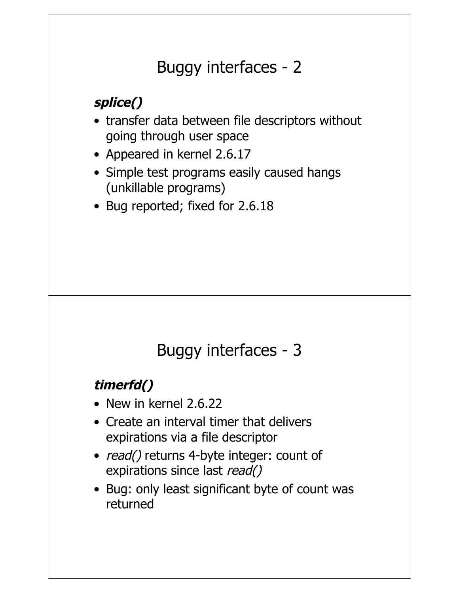## Buggy interfaces - 2

## **splice()**

- transfer data between file descriptors without going through user space
- Appeared in kernel 2.6.17
- Simple test programs easily caused hangs (unkillable programs)
- Bug reported; fixed for 2.6.18

## Buggy interfaces - 3

#### **timerfd()**

- New in kernel 2.6.22
- Create an interval timer that delivers expirations via a file descriptor
- read() returns 4-byte integer: count of expirations since last read()
- Bug: only least significant byte of count was returned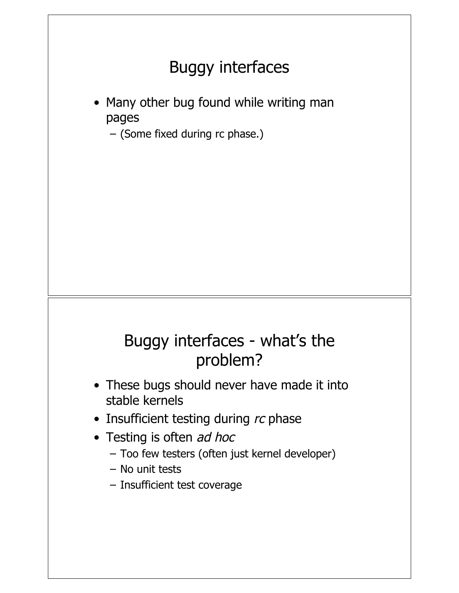## Buggy interfaces

• Many other bug found while writing man pages

– (Some fixed during rc phase.)

#### Buggy interfaces - what's the problem?

- These bugs should never have made it into stable kernels
- Insufficient testing during rc phase
- Testing is often *ad hoc* 
	- Too few testers (often just kernel developer)
	- No unit tests
	- Insufficient test coverage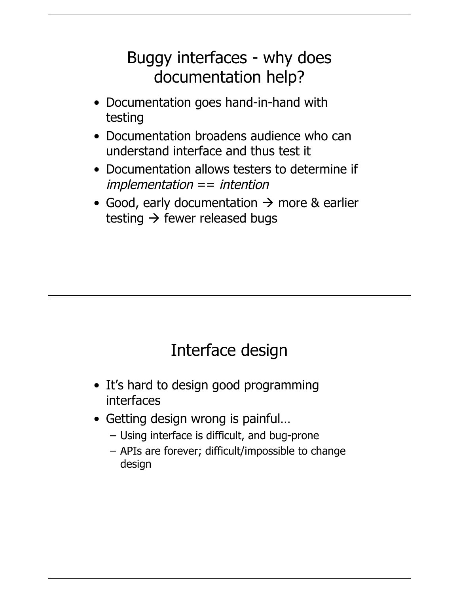## Buggy interfaces - why does documentation help?

- Documentation goes hand-in-hand with testing
- Documentation broadens audience who can understand interface and thus test it
- Documentation allows testers to determine if  $implementation == intention$
- Good, early documentation  $\rightarrow$  more & earlier testing  $\rightarrow$  fewer released bugs

## Interface design

- It's hard to design good programming interfaces
- Getting design wrong is painful…
	- Using interface is difficult, and bug-prone
	- APIs are forever; difficult/impossible to change design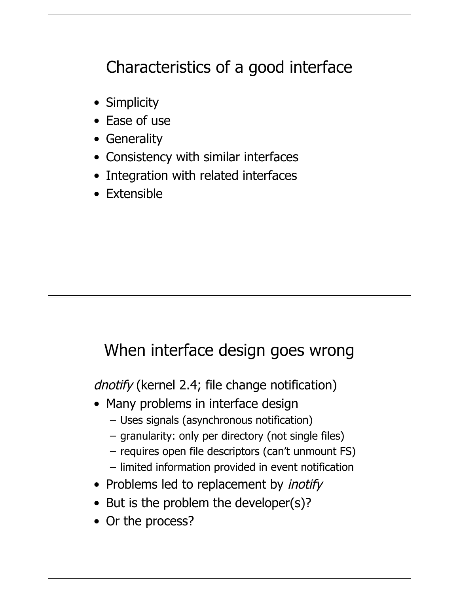## Characteristics of a good interface

- Simplicity
- Ease of use
- Generality
- Consistency with similar interfaces
- Integration with related interfaces
- Extensible

#### When interface design goes wrong

dnotify (kernel 2.4; file change notification)

- Many problems in interface design
	- Uses signals (asynchronous notification)
	- granularity: only per directory (not single files)
	- requires open file descriptors (can't unmount FS)
	- limited information provided in event notification
- Problems led to replacement by *inotify*
- But is the problem the developer(s)?
- Or the process?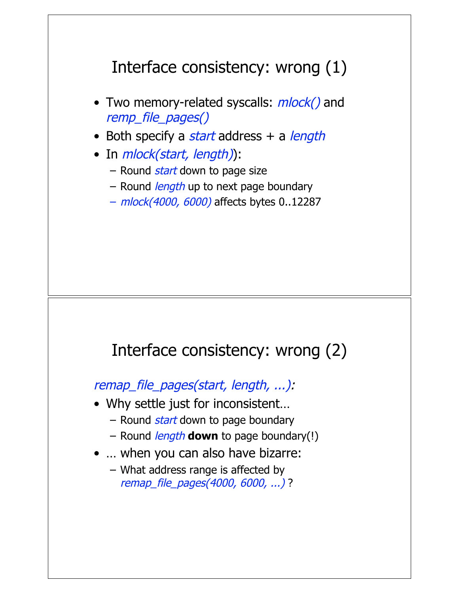## Interface consistency: wrong (1)

- Two memory-related syscalls:  $mlock()$  and remp\_file\_pages()
- Both specify a start address  $+$  a length
- In *mlock(start, length)*):
	- Round *start* down to page size
	- Round *length* up to next page boundary
	- mlock(4000, 6000) affects bytes 0..12287

#### Interface consistency: wrong (2)

remap\_file\_pages(start, length, ...):

- Why settle just for inconsistent…
	- Round *start* down to page boundary
	- Round length **down** to page boundary(!)
- ... when you can also have bizarre:
	- What address range is affected by remap\_file\_pages(4000, 6000, ...) ?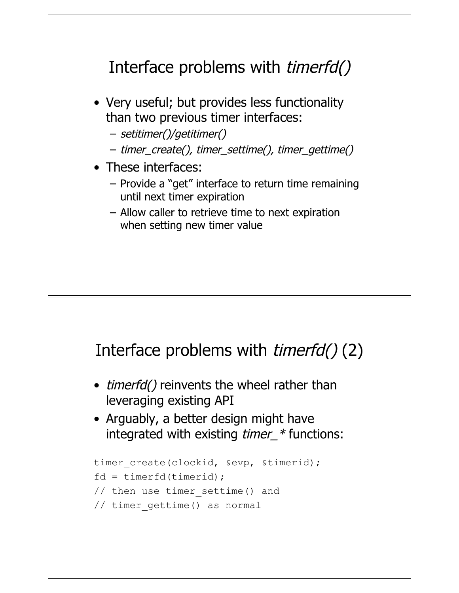## Interface problems with *timerfd()*

- Very useful; but provides less functionality than two previous timer interfaces:
	- setitimer()/getitimer()
	- timer\_create(), timer\_settime(), timer\_gettime()
- These interfaces:
	- Provide a "get" interface to return time remaining until next timer expiration
	- Allow caller to retrieve time to next expiration when setting new timer value

#### Interface problems with timerfd() (2)

- *timerfd()* reinvents the wheel rather than leveraging existing API
- Arguably, a better design might have integrated with existing *timer\_\** functions:

```
timer create(clockid, &evp, &timerid);
fd = timerfd(timerid);
// then use timer settime() and
// timer_gettime() as normal
```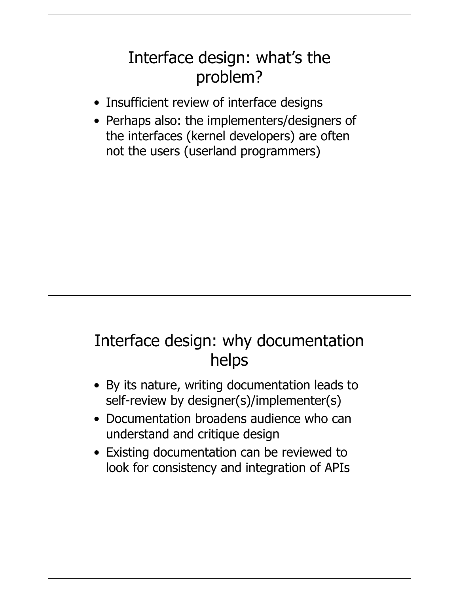## Interface design: what's the problem?

- Insufficient review of interface designs
- Perhaps also: the implementers/designers of the interfaces (kernel developers) are often not the users (userland programmers)

## Interface design: why documentation helps

- By its nature, writing documentation leads to self-review by designer(s)/implementer(s)
- Documentation broadens audience who can understand and critique design
- Existing documentation can be reviewed to look for consistency and integration of APIs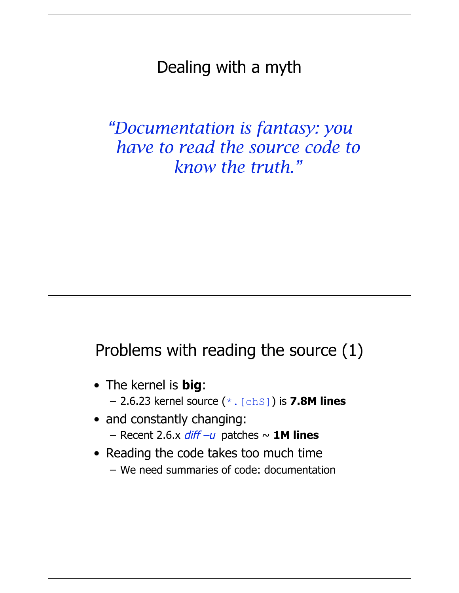Dealing with a myth

*"Documentation is fantasy: you have to read the source code to know the truth."*

#### Problems with reading the source (1)

- The kernel is **big**: – 2.6.23 kernel source (\*.[chS]) is **7.8M lines**
- and constantly changing:  $-$  Recent 2.6.x  $diff -u$  patches  $\sim$  **1M lines**
- Reading the code takes too much time
	- We need summaries of code: documentation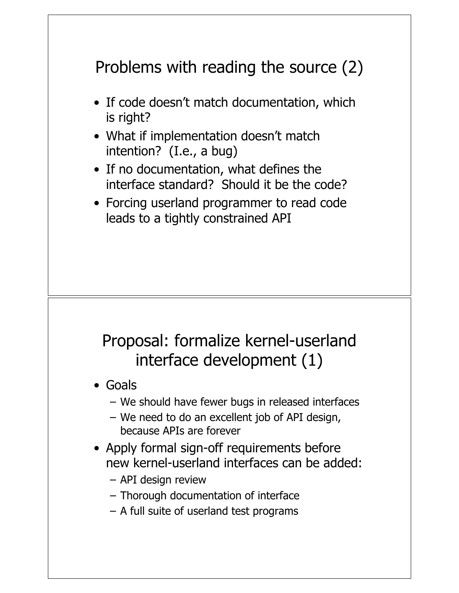## Problems with reading the source (2)

- If code doesn't match documentation, which is right?
- What if implementation doesn't match intention? (I.e., a bug)
- If no documentation, what defines the interface standard? Should it be the code?
- Forcing userland programmer to read code leads to a tightly constrained API

## Proposal: formalize kernel-userland interface development (1)

- Goals
	- We should have fewer bugs in released interfaces
	- We need to do an excellent job of API design, because APIs are forever
- Apply formal sign-off requirements before new kernel-userland interfaces can be added:
	- API design review
	- Thorough documentation of interface
	- A full suite of userland test programs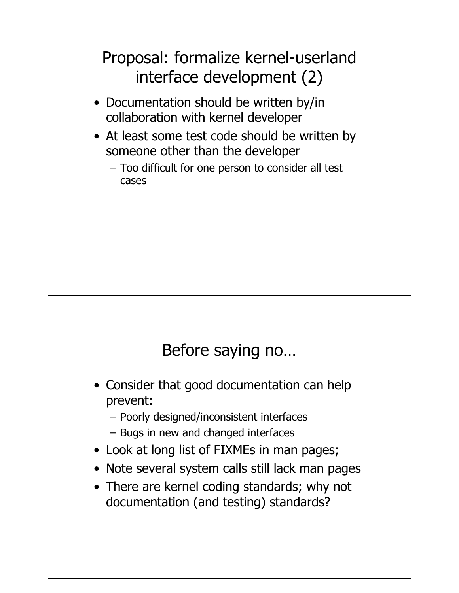## Proposal: formalize kernel-userland interface development (2)

- Documentation should be written by/in collaboration with kernel developer
- At least some test code should be written by someone other than the developer
	- Too difficult for one person to consider all test cases

## Before saying no…

- Consider that good documentation can help prevent:
	- Poorly designed/inconsistent interfaces
	- Bugs in new and changed interfaces
- Look at long list of FIXMEs in man pages;
- Note several system calls still lack man pages
- There are kernel coding standards; why not documentation (and testing) standards?